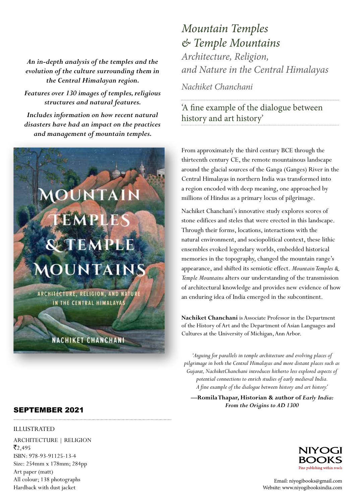*An in-depth analysis of the temples and the evolution of the culture surrounding them in the Central Himalayan region.*

*Features over 130 images of temples, religious structures and natural features.*

*Includes information on how recent natural disasters have had an impact on the practices and management of mountain temples.* 

## EMPLE **QETEMPLE MOUNTAINS**

**UNTA** 

ARCHITECTURE, RELIGION, AND NATURE IN THE CENTRAL HIMALAYAS

**NACHIKET CHANCHANI** 

## *Mountain Temples & Temple Mountains Architecture, Religion,*

*and Nature in the Central Himalayas*

*Nachiket Chanchani*

'A fine example of the dialogue between history and art history'

From approximately the third century BCE through the thirteenth century CE, the remote mountainous landscape around the glacial sources of the Ganga (Ganges) River in the Central Himalayas in northern India was transformed into a region encoded with deep meaning, one approached by millions of Hindus as a primary locus of pilgrimage.

Nachiket Chanchani's innovative study explores scores of stone edifices and steles that were erected in this landscape. Through their forms, locations, interactions with the natural environment, and sociopolitical context, these lithic ensembles evoked legendary worlds, embedded historical memories in the topography, changed the mountain range's appearance, and shifted its semiotic effect. *Mountain Temples & Temple Mountains* alters our understanding of the transmission of architectural knowledge and provides new evidence of how an enduring idea of India emerged in the subcontinent.

**Nachiket Chanchani** is Associate Professor in the Department of the History of Art and the Department of Asian Languages and Cultures at the University of Michigan, Ann Arbor.

*'Arguing for parallels in temple architecture and evolving places of pilgrimage in both the Central Himalayas and more distant places such as Gujarat, NachiketChanchani introduces hitherto less explored aspects of potential connections to enrich studies of early medieval India. A fine example of the dialogue between history and art history.'*

**—Romila Thapar, Historian & author of** *Early India: From the Origins to AD 1300*



SEPTEMBER 2021

## ILLUSTRATED

ARCHITECTURE | RELIGION  $\bar{z}$ <sub>2</sub>,495 ISBN: 978-93-91125-13-4 Size: 254mm x 178mm; 284pp Art paper (matt) All colour; 138 photographs Hardback with dust jacket